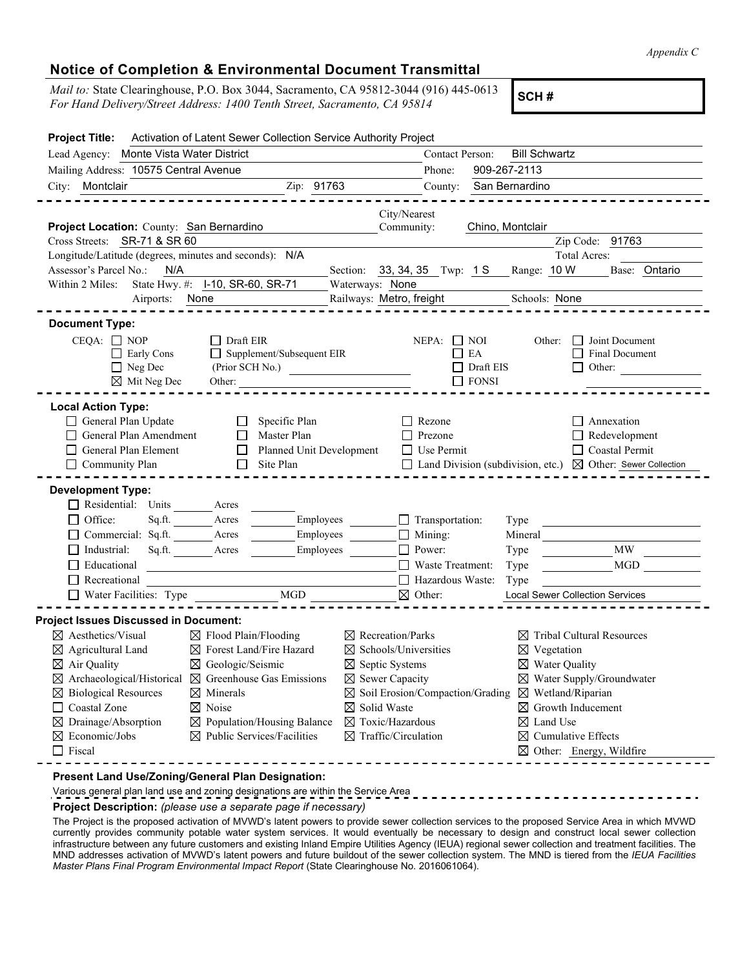*Appendix C*

## **Notice of Completion & Environmental Document Transmittal**

*Mail to:* State Clearinghouse, P.O. Box 3044, Sacramento, CA 95812-3044 (916) 445-0613 *For Hand Delivery/Street Address: 1400 Tenth Street, Sacramento, CA 95812-3044 (916) 445-0613*<br>*For Hand Delivery/Street Address: 1400 Tenth Street, Sacramento, CA 95814* 

| <b>Project Title:</b>                                                                                                                                                                                                                 | Activation of Latent Sewer Collection Service Authority Project                                                                                                                                                                                                                                              |                                                                                                                                                                                                                                                                  |                                                                                                                                                                                                                                                                                                                                                    |
|---------------------------------------------------------------------------------------------------------------------------------------------------------------------------------------------------------------------------------------|--------------------------------------------------------------------------------------------------------------------------------------------------------------------------------------------------------------------------------------------------------------------------------------------------------------|------------------------------------------------------------------------------------------------------------------------------------------------------------------------------------------------------------------------------------------------------------------|----------------------------------------------------------------------------------------------------------------------------------------------------------------------------------------------------------------------------------------------------------------------------------------------------------------------------------------------------|
| Lead Agency: Monte Vista Water District                                                                                                                                                                                               |                                                                                                                                                                                                                                                                                                              | Contact Person:                                                                                                                                                                                                                                                  | <b>Bill Schwartz</b>                                                                                                                                                                                                                                                                                                                               |
| Mailing Address: 10575 Central Avenue                                                                                                                                                                                                 |                                                                                                                                                                                                                                                                                                              | Phone:                                                                                                                                                                                                                                                           | 909-267-2113                                                                                                                                                                                                                                                                                                                                       |
| City: Montclair                                                                                                                                                                                                                       | Zip: 91763                                                                                                                                                                                                                                                                                                   | County:                                                                                                                                                                                                                                                          | San Bernardino                                                                                                                                                                                                                                                                                                                                     |
| Project Location: County: San Bernardino                                                                                                                                                                                              |                                                                                                                                                                                                                                                                                                              | City/Nearest<br>Community:                                                                                                                                                                                                                                       | Chino, Montclair                                                                                                                                                                                                                                                                                                                                   |
| Cross Streets: SR-71 & SR 60                                                                                                                                                                                                          |                                                                                                                                                                                                                                                                                                              |                                                                                                                                                                                                                                                                  | Zip Code: 91763                                                                                                                                                                                                                                                                                                                                    |
| Longitude/Latitude (degrees, minutes and seconds): N/A<br>Assessor's Parcel No.:<br>N/A                                                                                                                                               |                                                                                                                                                                                                                                                                                                              |                                                                                                                                                                                                                                                                  | Total Acres:<br>Range: 10 W<br>Base: Ontario                                                                                                                                                                                                                                                                                                       |
| Within 2 Miles:                                                                                                                                                                                                                       | State Hwy. #: 1-10, SR-60, SR-71                                                                                                                                                                                                                                                                             | Section: 33, 34, 35 Twp: 1 S<br>Waterways: None                                                                                                                                                                                                                  |                                                                                                                                                                                                                                                                                                                                                    |
|                                                                                                                                                                                                                                       | Airports: None                                                                                                                                                                                                                                                                                               | Railways: Metro, freight                                                                                                                                                                                                                                         | Schools: None                                                                                                                                                                                                                                                                                                                                      |
|                                                                                                                                                                                                                                       |                                                                                                                                                                                                                                                                                                              |                                                                                                                                                                                                                                                                  |                                                                                                                                                                                                                                                                                                                                                    |
| <b>Document Type:</b>                                                                                                                                                                                                                 |                                                                                                                                                                                                                                                                                                              |                                                                                                                                                                                                                                                                  |                                                                                                                                                                                                                                                                                                                                                    |
| $CEQA: \Box NOP$<br>$\Box$ Early Cons<br>$\Box$ Neg Dec<br>$\boxtimes$ Mit Neg Dec                                                                                                                                                    | $\Box$ Draft EIR<br>Supplement/Subsequent EIR<br>(Prior SCH No.)<br>Other:                                                                                                                                                                                                                                   | $NEPA: \Box NOI$<br>$E$ A                                                                                                                                                                                                                                        | $\Box$ Joint Document<br>Other:<br>$\Box$ Final Document<br>$\Box$ Draft EIS<br>$\Box$ Other:<br>$\Box$ FONSI                                                                                                                                                                                                                                      |
| <b>Local Action Type:</b><br>General Plan Update<br>General Plan Amendment<br>General Plan Element<br>$\Box$ Community Plan                                                                                                           | $\Box$<br>Specific Plan<br>Master Plan<br>$\Box$<br>Planned Unit Development<br>$\Box$<br>$\Box$<br>Site Plan                                                                                                                                                                                                | $\Box$ Rezone<br>$\Box$ Prezone<br>$\Box$ Use Permit                                                                                                                                                                                                             | $\Box$ Annexation<br>$\Box$ Redevelopment<br>$\Box$ Coastal Permit<br>$\Box$ Land Division (subdivision, etc.) $\boxtimes$ Other: Sewer Collection                                                                                                                                                                                                 |
| <b>Development Type:</b><br>Residential: Units Acres<br>$\Box$ Office:<br>Sq.ft.<br>Commercial: Sq.ft. Acres                                                                                                                          | Acres<br>Employees<br>Employees                                                                                                                                                                                                                                                                              | Transportation:<br>$\Box$ Mining:                                                                                                                                                                                                                                | Type<br>Mineral                                                                                                                                                                                                                                                                                                                                    |
| $\Box$ Industrial:                                                                                                                                                                                                                    | Employees<br>Sq.ft. Acres                                                                                                                                                                                                                                                                                    | □ Power:                                                                                                                                                                                                                                                         | MW N<br>Type                                                                                                                                                                                                                                                                                                                                       |
| $\Box$ Educational                                                                                                                                                                                                                    |                                                                                                                                                                                                                                                                                                              | $\Box$ Waste Treatment:                                                                                                                                                                                                                                          | MGD<br>Type                                                                                                                                                                                                                                                                                                                                        |
| $\Box$ Recreational                                                                                                                                                                                                                   | <u> 1980 - Johann Barbara, martxa amerikan personal (h. 1980).</u>                                                                                                                                                                                                                                           | Hazardous Waste:                                                                                                                                                                                                                                                 | Type                                                                                                                                                                                                                                                                                                                                               |
| Water Facilities: Type                                                                                                                                                                                                                | <b>MGD</b>                                                                                                                                                                                                                                                                                                   | $\boxtimes$ Other:                                                                                                                                                                                                                                               | Local Sewer Collection Services                                                                                                                                                                                                                                                                                                                    |
|                                                                                                                                                                                                                                       |                                                                                                                                                                                                                                                                                                              |                                                                                                                                                                                                                                                                  |                                                                                                                                                                                                                                                                                                                                                    |
| <b>Project Issues Discussed in Document:</b>                                                                                                                                                                                          |                                                                                                                                                                                                                                                                                                              |                                                                                                                                                                                                                                                                  |                                                                                                                                                                                                                                                                                                                                                    |
| $\boxtimes$ Aesthetics/Visual<br>$\boxtimes$ Agricultural Land<br>$\boxtimes$ Air Quality<br>$\boxtimes$ Biological Resources<br>$\Box$ Coastal Zone<br>$\boxtimes$ Drainage/Absorption<br>$\boxtimes$ Economic/Jobs<br>$\Box$ Fiscal | $\boxtimes$ Flood Plain/Flooding<br>$\boxtimes$ Forest Land/Fire Hazard<br>⊠ Geologic/Seismic<br>$\boxtimes$ Archaeological/Historical $\boxtimes$ Greenhouse Gas Emissions<br>$\boxtimes$ Minerals<br>$\boxtimes$ Noise<br>$\boxtimes$ Population/Housing Balance<br>$\boxtimes$ Public Services/Facilities | $\boxtimes$ Recreation/Parks<br>$\boxtimes$ Schools/Universities<br>$\boxtimes$ Septic Systems<br>$\boxtimes$ Sewer Capacity<br>$\boxtimes$ Solid Waste<br>$\boxtimes$ Toxic/Hazardous<br>$\boxtimes$ Traffic/Circulation<br><u> - - - - - - - - - - - - - -</u> | $\boxtimes$ Tribal Cultural Resources<br>$\boxtimes$ Vegetation<br>$\boxtimes$ Water Quality<br>$\boxtimes$ Water Supply/Groundwater<br>$\boxtimes$ Soil Erosion/Compaction/Grading $\boxtimes$ Wetland/Riparian<br>$\boxtimes$ Growth Inducement<br>$\boxtimes$ Land Use<br>$\boxtimes$ Cumulative Effects<br>$\boxtimes$ Other: Energy, Wildfire |
|                                                                                                                                                                                                                                       | Present Land Use/Zoning/General Plan Designation:                                                                                                                                                                                                                                                            |                                                                                                                                                                                                                                                                  |                                                                                                                                                                                                                                                                                                                                                    |

Various general plan land use and zoning designations are within the Service Area

## **Project Description:** *(please use a separate page if necessary)*

The Project is the proposed activation of MVWD's latent powers to provide sewer collection services to the proposed Service Area in which MVWD currently provides community potable water system services. It would eventually be necessary to design and construct local sewer collection infrastructure between any future customers and existing Inland Empire Utilities Agency (IEUA) regional sewer collection and treatment facilities. The MND addresses activation of MVWD's latent powers and future buildout of the sewer collection system. The MND is tiered from the *IEUA Facilities Master Plans Final Program Environmental Impact Report* (State Clearinghouse No. 2016061064).